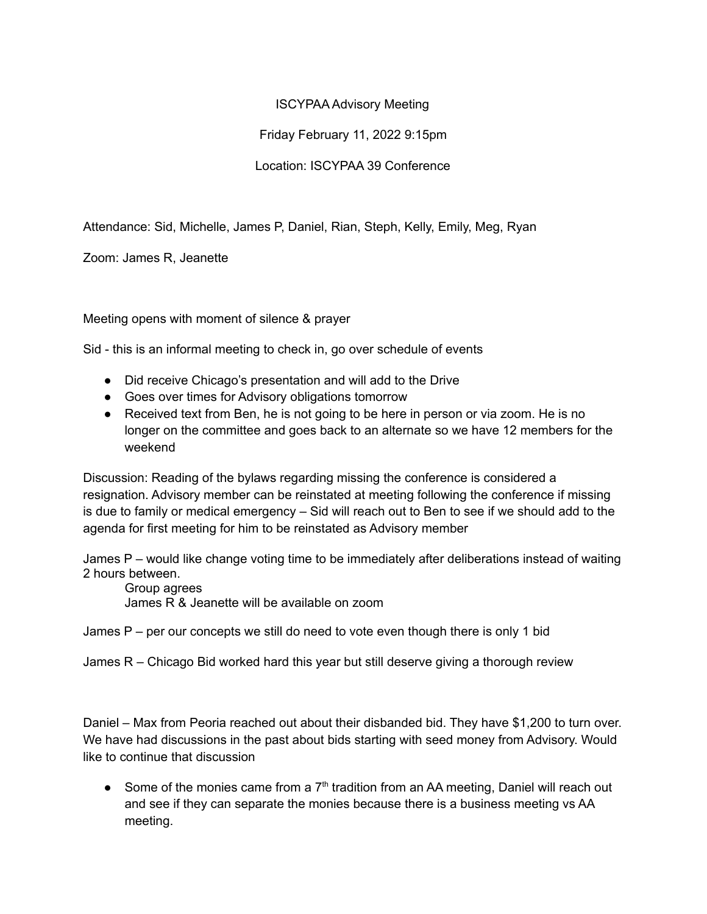## ISCYPAA Advisory Meeting

## Friday February 11, 2022 9:15pm

## Location: ISCYPAA 39 Conference

Attendance: Sid, Michelle, James P, Daniel, Rian, Steph, Kelly, Emily, Meg, Ryan

Zoom: James R, Jeanette

Meeting opens with moment of silence & prayer

Sid - this is an informal meeting to check in, go over schedule of events

- Did receive Chicago's presentation and will add to the Drive
- Goes over times for Advisory obligations tomorrow
- Received text from Ben, he is not going to be here in person or via zoom. He is no longer on the committee and goes back to an alternate so we have 12 members for the weekend

Discussion: Reading of the bylaws regarding missing the conference is considered a resignation. Advisory member can be reinstated at meeting following the conference if missing is due to family or medical emergency – Sid will reach out to Ben to see if we should add to the agenda for first meeting for him to be reinstated as Advisory member

James P – would like change voting time to be immediately after deliberations instead of waiting 2 hours between.

Group agrees James R & Jeanette will be available on zoom

James  $P$  – per our concepts we still do need to vote even though there is only 1 bid

James  $R$  – Chicago Bid worked hard this year but still deserve giving a thorough review

Daniel – Max from Peoria reached out about their disbanded bid. They have \$1,200 to turn over. We have had discussions in the past about bids starting with seed money from Advisory. Would like to continue that discussion

• Some of the monies came from a  $7<sup>th</sup>$  tradition from an AA meeting, Daniel will reach out and see if they can separate the monies because there is a business meeting vs AA meeting.